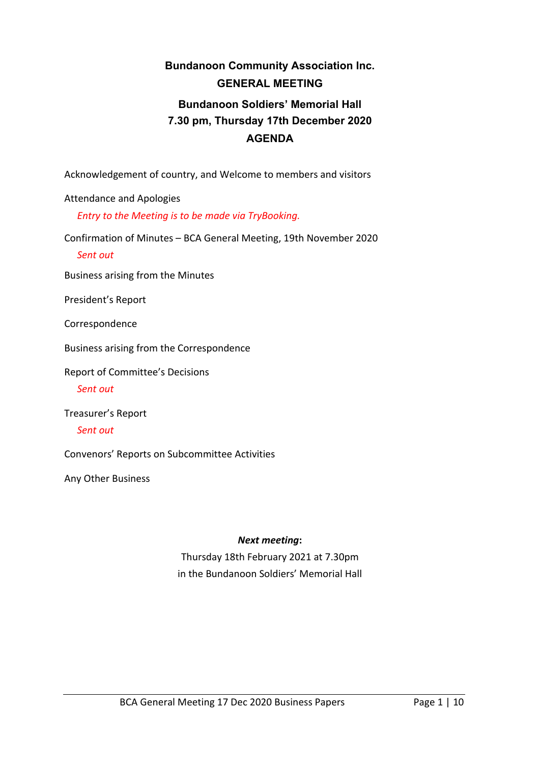# **Bundanoon Community Association Inc. GENERAL MEETING Bundanoon Soldiers' Memorial Hall 7.30 pm, Thursday 17th December 2020 AGENDA**

Acknowledgement of country, and Welcome to members and visitors

Attendance and Apologies

*Entry to the Meeting is to be made via TryBooking.*

Confirmation of Minutes – BCA General Meeting, 19th November 2020

*Sent out*

Business arising from the Minutes

President's Report

Correspondence

Business arising from the Correspondence

Report of Committee's Decisions

*Sent out*

Treasurer's Report

*Sent out*

Convenors' Reports on Subcommittee Activities

Any Other Business

#### *Next meeting***:**

Thursday 18th February 2021 at 7.30pm in the Bundanoon Soldiers' Memorial Hall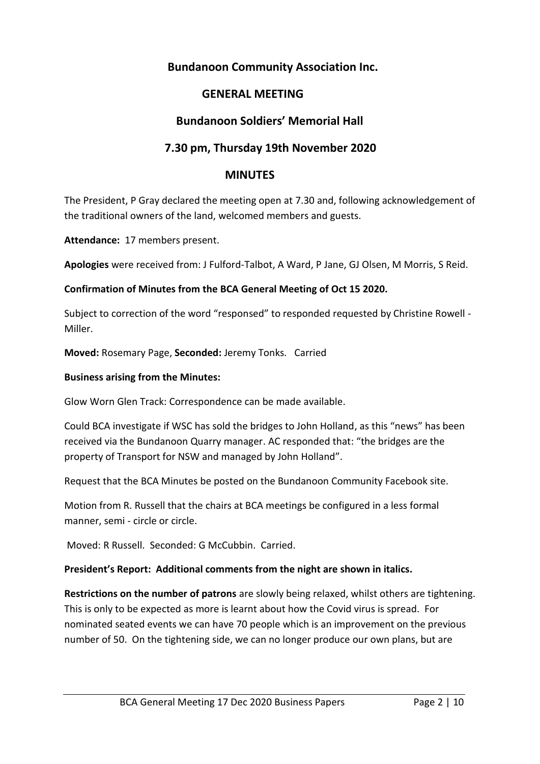# **Bundanoon Community Association Inc.**

# **GENERAL MEETING**

# **Bundanoon Soldiers' Memorial Hall**

# **7.30 pm, Thursday 19th November 2020**

## **MINUTES**

The President, P Gray declared the meeting open at 7.30 and, following acknowledgement of the traditional owners of the land, welcomed members and guests.

**Attendance:** 17 members present.

**Apologies** were received from: J Fulford-Talbot, A Ward, P Jane, GJ Olsen, M Morris, S Reid.

### **Confirmation of Minutes from the BCA General Meeting of Oct 15 2020.**

Subject to correction of the word "responsed" to responded requested by Christine Rowell - Miller.

**Moved:** Rosemary Page, **Seconded:** Jeremy Tonks. Carried

#### **Business arising from the Minutes:**

Glow Worn Glen Track: Correspondence can be made available.

Could BCA investigate if WSC has sold the bridges to John Holland, as this "news" has been received via the Bundanoon Quarry manager. AC responded that: "the bridges are the property of Transport for NSW and managed by John Holland".

Request that the BCA Minutes be posted on the Bundanoon Community Facebook site.

Motion from R. Russell that the chairs at BCA meetings be configured in a less formal manner, semi - circle or circle.

Moved: R Russell. Seconded: G McCubbin. Carried.

### **President's Report: Additional comments from the night are shown in italics.**

**Restrictions on the number of patrons** are slowly being relaxed, whilst others are tightening. This is only to be expected as more is learnt about how the Covid virus is spread. For nominated seated events we can have 70 people which is an improvement on the previous number of 50. On the tightening side, we can no longer produce our own plans, but are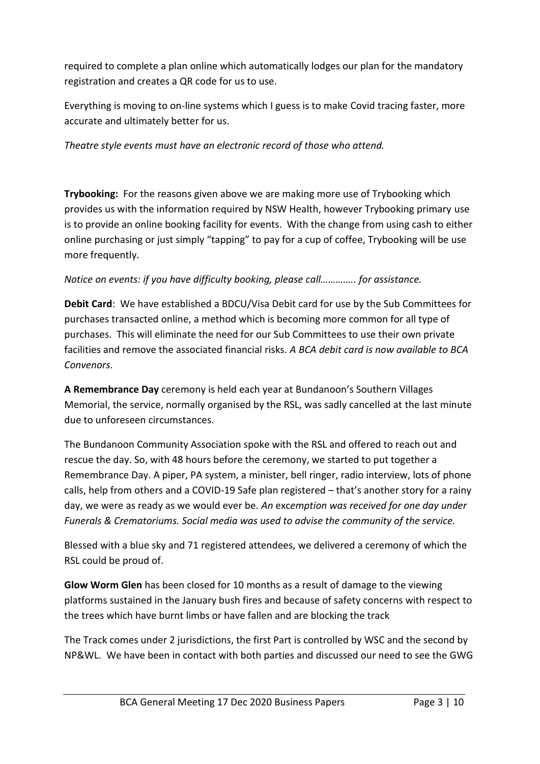required to complete a plan online which automatically lodges our plan for the mandatory registration and creates a QR code for us to use.

Everything is moving to on-line systems which I guess is to make Covid tracing faster, more accurate and ultimately better for us.

*Theatre style events must have an electronic record of those who attend.*

**Trybooking:** For the reasons given above we are making more use of Trybooking which provides us with the information required by NSW Health, however Trybooking primary use is to provide an online booking facility for events. With the change from using cash to either online purchasing or just simply "tapping" to pay for a cup of coffee, Trybooking will be use more frequently.

## *Notice on events: if you have difficulty booking, please call………….. for assistance.*

**Debit Card**: We have established a BDCU/Visa Debit card for use by the Sub Committees for purchases transacted online, a method which is becoming more common for all type of purchases. This will eliminate the need for our Sub Committees to use their own private facilities and remove the associated financial risks. *A BCA debit card is now available to BCA Convenors.*

**A Remembrance Day** ceremony is held each year at Bundanoon's Southern Villages Memorial, the service, normally organised by the RSL, was sadly cancelled at the last minute due to unforeseen circumstances.

The Bundanoon Community Association spoke with the RSL and offered to reach out and rescue the day. So, with 48 hours before the ceremony, we started to put together a Remembrance Day. A piper, PA system, a minister, bell ringer, radio interview, lots of phone calls, help from others and a COVID-19 Safe plan registered – that's another story for a rainy day, we were as ready as we would ever be. *An* exc*emption was received for one day under Funerals & Crematoriums. Social media was used to advise the community of the service.*

Blessed with a blue sky and 71 registered attendees, we delivered a ceremony of which the RSL could be proud of.

**Glow Worm Glen** has been closed for 10 months as a result of damage to the viewing platforms sustained in the January bush fires and because of safety concerns with respect to the trees which have burnt limbs or have fallen and are blocking the track

The Track comes under 2 jurisdictions, the first Part is controlled by WSC and the second by NP&WL. We have been in contact with both parties and discussed our need to see the GWG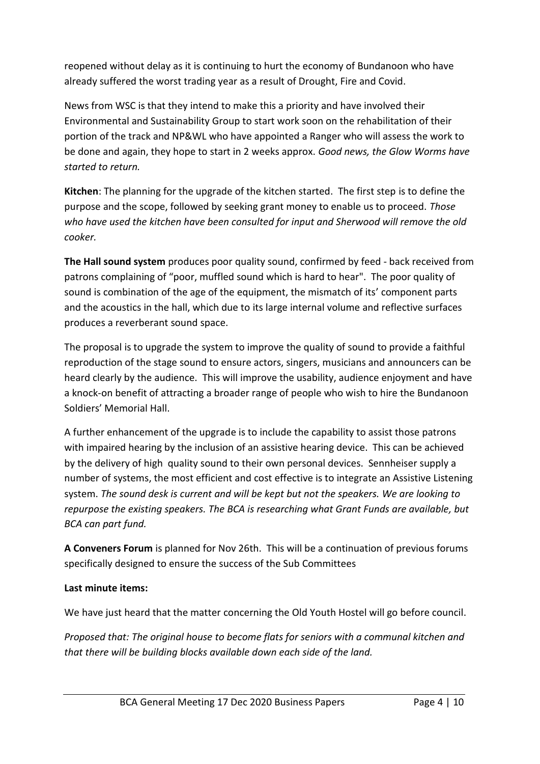reopened without delay as it is continuing to hurt the economy of Bundanoon who have already suffered the worst trading year as a result of Drought, Fire and Covid.

News from WSC is that they intend to make this a priority and have involved their Environmental and Sustainability Group to start work soon on the rehabilitation of their portion of the track and NP&WL who have appointed a Ranger who will assess the work to be done and again, they hope to start in 2 weeks approx. *Good news, the Glow Worms have started to return.*

**Kitchen**: The planning for the upgrade of the kitchen started. The first step is to define the purpose and the scope, followed by seeking grant money to enable us to proceed. *Those who have used the kitchen have been consulted for input and Sherwood will remove the old cooker.* 

**The Hall sound system** produces poor quality sound, confirmed by feed - back received from patrons complaining of "poor, muffled sound which is hard to hear". The poor quality of sound is combination of the age of the equipment, the mismatch of its' component parts and the acoustics in the hall, which due to its large internal volume and reflective surfaces produces a reverberant sound space.

The proposal is to upgrade the system to improve the quality of sound to provide a faithful reproduction of the stage sound to ensure actors, singers, musicians and announcers can be heard clearly by the audience. This will improve the usability, audience enjoyment and have a knock-on benefit of attracting a broader range of people who wish to hire the Bundanoon Soldiers' Memorial Hall.

A further enhancement of the upgrade is to include the capability to assist those patrons with impaired hearing by the inclusion of an assistive hearing device. This can be achieved by the delivery of high quality sound to their own personal devices. Sennheiser supply a number of systems, the most efficient and cost effective is to integrate an Assistive Listening system. *The sound desk is current and will be kept but not the speakers. We are looking to repurpose the existing speakers. The BCA is researching what Grant Funds are available, but BCA can part fund.* 

**A Conveners Forum** is planned for Nov 26th. This will be a continuation of previous forums specifically designed to ensure the success of the Sub Committees

## **Last minute items:**

We have just heard that the matter concerning the Old Youth Hostel will go before council.

*Proposed that: The original house to become flats for seniors with a communal kitchen and that there will be building blocks available down each side of the land.*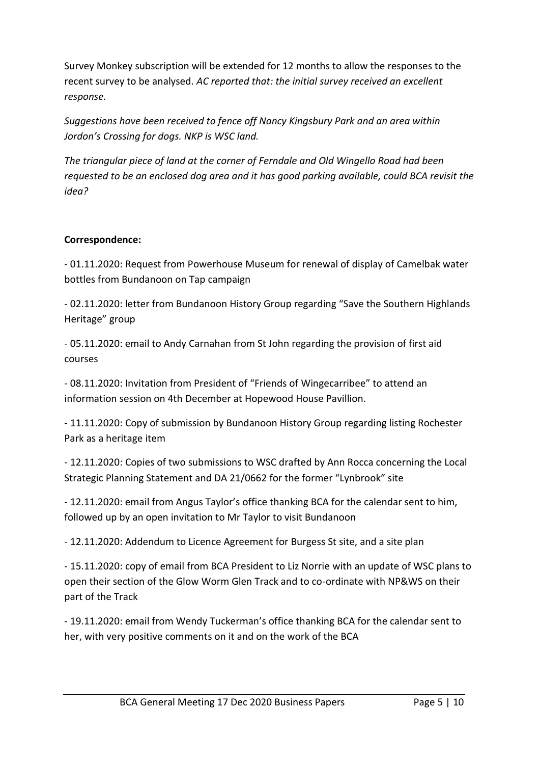Survey Monkey subscription will be extended for 12 months to allow the responses to the recent survey to be analysed. *AC reported that: the initial survey received an excellent response.*

*Suggestions have been received to fence off Nancy Kingsbury Park and an area within Jordon's Crossing for dogs. NKP is WSC land.* 

*The triangular piece of land at the corner of Ferndale and Old Wingello Road had been requested to be an enclosed dog area and it has good parking available, could BCA revisit the idea?*

## **Correspondence:**

- 01.11.2020: Request from Powerhouse Museum for renewal of display of Camelbak water bottles from Bundanoon on Tap campaign

- 02.11.2020: letter from Bundanoon History Group regarding "Save the Southern Highlands Heritage" group

- 05.11.2020: email to Andy Carnahan from St John regarding the provision of first aid courses

- 08.11.2020: Invitation from President of "Friends of Wingecarribee" to attend an information session on 4th December at Hopewood House Pavillion.

- 11.11.2020: Copy of submission by Bundanoon History Group regarding listing Rochester Park as a heritage item

- 12.11.2020: Copies of two submissions to WSC drafted by Ann Rocca concerning the Local Strategic Planning Statement and DA 21/0662 for the former "Lynbrook" site

- 12.11.2020: email from Angus Taylor's office thanking BCA for the calendar sent to him, followed up by an open invitation to Mr Taylor to visit Bundanoon

- 12.11.2020: Addendum to Licence Agreement for Burgess St site, and a site plan

- 15.11.2020: copy of email from BCA President to Liz Norrie with an update of WSC plans to open their section of the Glow Worm Glen Track and to co-ordinate with NP&WS on their part of the Track

- 19.11.2020: email from Wendy Tuckerman's office thanking BCA for the calendar sent to her, with very positive comments on it and on the work of the BCA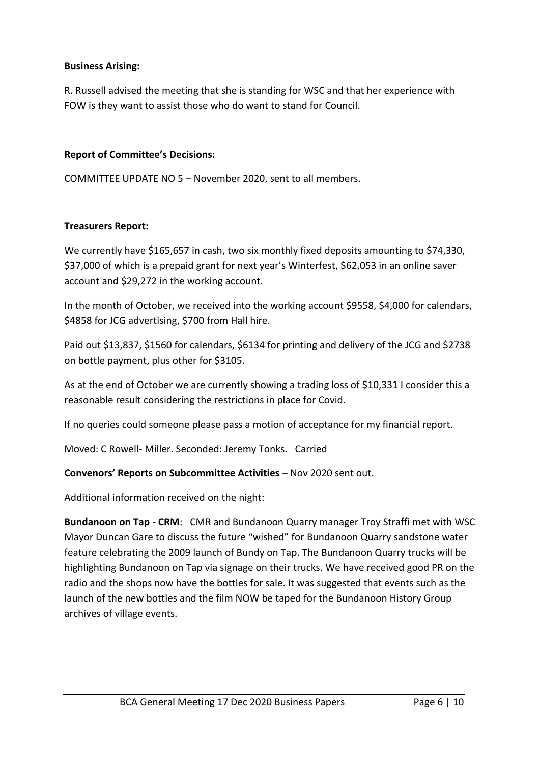## **Business Arising:**

R. Russell advised the meeting that she is standing for WSC and that her experience with FOW is they want to assist those who do want to stand for Council.

## **Report of Committee's Decisions:**

COMMITTEE UPDATE NO 5 – November 2020, sent to all members.

### **Treasurers Report:**

We currently have \$165,657 in cash, two six monthly fixed deposits amounting to \$74,330, \$37,000 of which is a prepaid grant for next year's Winterfest, \$62,053 in an online saver account and \$29,272 in the working account.

In the month of October, we received into the working account \$9558, \$4,000 for calendars, \$4858 for JCG advertising, \$700 from Hall hire.

Paid out \$13,837, \$1560 for calendars, \$6134 for printing and delivery of the JCG and \$2738 on bottle payment, plus other for \$3105.

As at the end of October we are currently showing a trading loss of \$10,331 I consider this a reasonable result considering the restrictions in place for Covid.

If no queries could someone please pass a motion of acceptance for my financial report.

Moved: C Rowell- Miller. Seconded: Jeremy Tonks. Carried

### **Convenors' Reports on Subcommittee Activities** – Nov 2020 sent out.

Additional information received on the night:

**Bundanoon on Tap - CRM**: CMR and Bundanoon Quarry manager Troy Straffi met with WSC Mayor Duncan Gare to discuss the future "wished" for Bundanoon Quarry sandstone water feature celebrating the 2009 launch of Bundy on Tap. The Bundanoon Quarry trucks will be highlighting Bundanoon on Tap via signage on their trucks. We have received good PR on the radio and the shops now have the bottles for sale. It was suggested that events such as the launch of the new bottles and the film NOW be taped for the Bundanoon History Group archives of village events.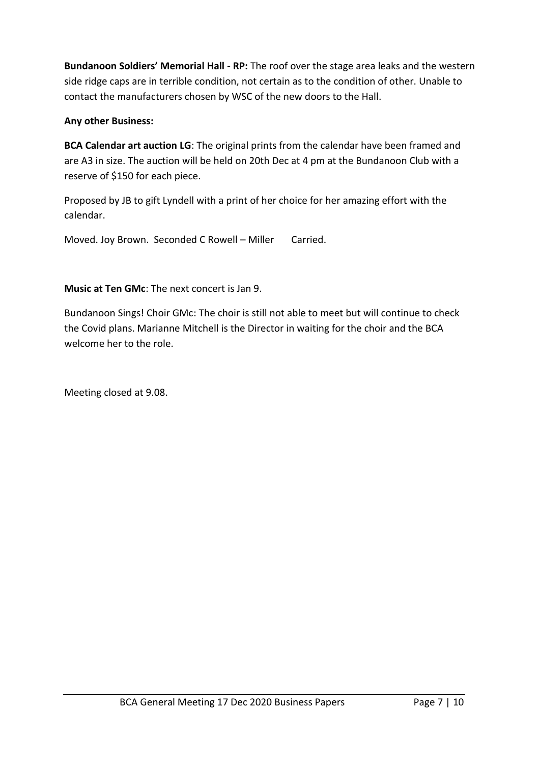**Bundanoon Soldiers' Memorial Hall - RP:** The roof over the stage area leaks and the western side ridge caps are in terrible condition, not certain as to the condition of other. Unable to contact the manufacturers chosen by WSC of the new doors to the Hall.

## **Any other Business:**

**BCA Calendar art auction LG**: The original prints from the calendar have been framed and are A3 in size. The auction will be held on 20th Dec at 4 pm at the Bundanoon Club with a reserve of \$150 for each piece.

Proposed by JB to gift Lyndell with a print of her choice for her amazing effort with the calendar.

Moved. Joy Brown. Seconded C Rowell – Miller Carried.

## **Music at Ten GMc**: The next concert is Jan 9.

Bundanoon Sings! Choir GMc: The choir is still not able to meet but will continue to check the Covid plans. Marianne Mitchell is the Director in waiting for the choir and the BCA welcome her to the role.

Meeting closed at 9.08.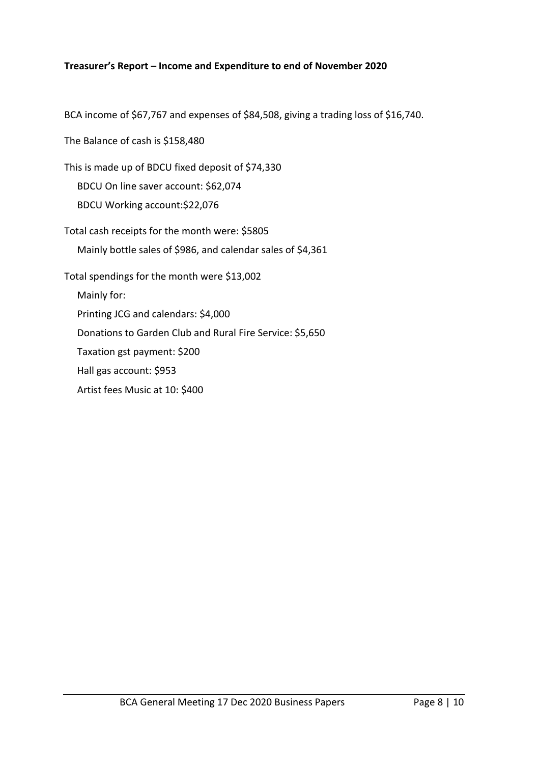## **Treasurer's Report – Income and Expenditure to end of November 2020**

BCA income of \$67,767 and expenses of \$84,508, giving a trading loss of \$16,740.

The Balance of cash is \$158,480

This is made up of BDCU fixed deposit of \$74,330 BDCU On line saver account: \$62,074 BDCU Working account:\$22,076

Total cash receipts for the month were: \$5805 Mainly bottle sales of \$986, and calendar sales of \$4,361 Total spendings for the month were \$13,002 Mainly for:

Printing JCG and calendars: \$4,000

Donations to Garden Club and Rural Fire Service: \$5,650

Taxation gst payment: \$200

Hall gas account: \$953

Artist fees Music at 10: \$400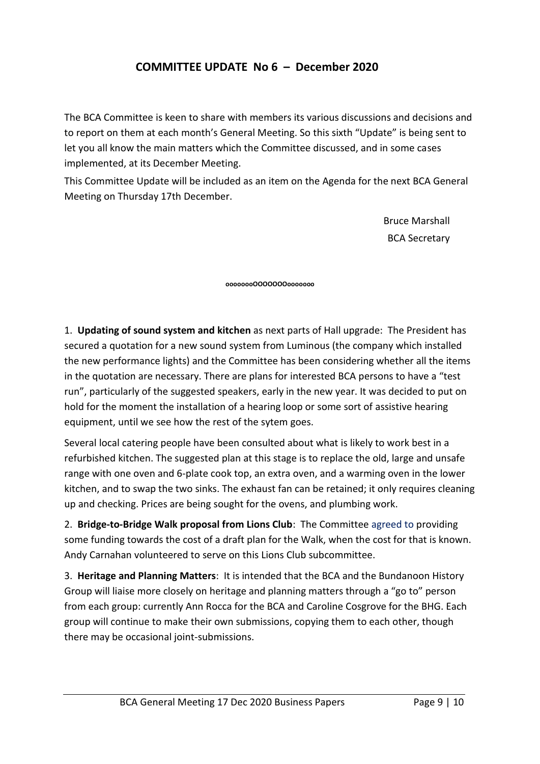# **COMMITTEE UPDATE No 6 – December 2020**

The BCA Committee is keen to share with members its various discussions and decisions and to report on them at each month's General Meeting. So this sixth "Update" is being sent to let you all know the main matters which the Committee discussed, and in some cases implemented, at its December Meeting.

This Committee Update will be included as an item on the Agenda for the next BCA General Meeting on Thursday 17th December.

> Bruce Marshall BCA Secretary

**oooooooOOOOOOOooooooo**

1. **Updating of sound system and kitchen** as next parts of Hall upgrade: The President has secured a quotation for a new sound system from Luminous (the company which installed the new performance lights) and the Committee has been considering whether all the items in the quotation are necessary. There are plans for interested BCA persons to have a "test run", particularly of the suggested speakers, early in the new year. It was decided to put on hold for the moment the installation of a hearing loop or some sort of assistive hearing equipment, until we see how the rest of the sytem goes.

Several local catering people have been consulted about what is likely to work best in a refurbished kitchen. The suggested plan at this stage is to replace the old, large and unsafe range with one oven and 6-plate cook top, an extra oven, and a warming oven in the lower kitchen, and to swap the two sinks. The exhaust fan can be retained; it only requires cleaning up and checking. Prices are being sought for the ovens, and plumbing work.

2. **Bridge-to-Bridge Walk proposal from Lions Club**: The Committee agreed to providing some funding towards the cost of a draft plan for the Walk, when the cost for that is known. Andy Carnahan volunteered to serve on this Lions Club subcommittee.

3. **Heritage and Planning Matters**: It is intended that the BCA and the Bundanoon History Group will liaise more closely on heritage and planning matters through a "go to" person from each group: currently Ann Rocca for the BCA and Caroline Cosgrove for the BHG. Each group will continue to make their own submissions, copying them to each other, though there may be occasional joint-submissions.